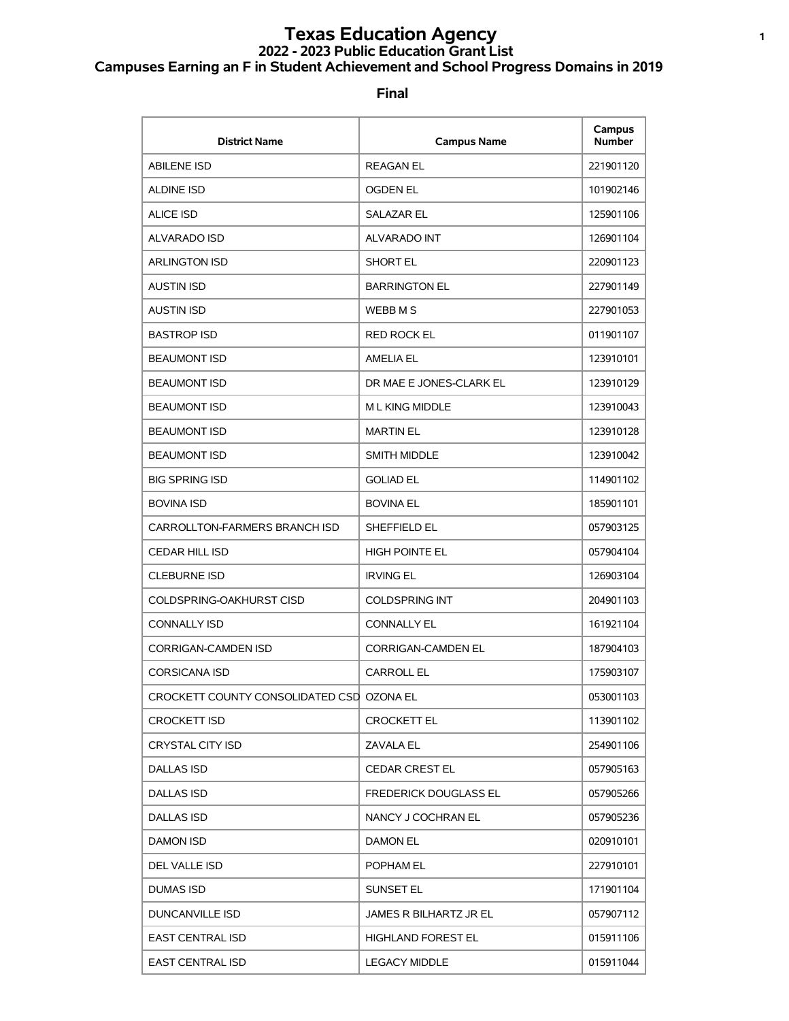# **Texas Education Agency <sup>1</sup> 2022 - 2023 Public Education Grant List Campuses Earning an F in Student Achievement and School Progress Domains in 2019**

| <b>District Name</b>                      | <b>Campus Name</b>           | Campus<br><b>Number</b> |
|-------------------------------------------|------------------------------|-------------------------|
| <b>ABILENE ISD</b>                        | <b>REAGAN EL</b>             | 221901120               |
| <b>ALDINE ISD</b>                         | <b>OGDEN EL</b>              | 101902146               |
| <b>ALICE ISD</b>                          | <b>SALAZAR EL</b>            | 125901106               |
| ALVARADO ISD                              | <b>ALVARADO INT</b>          | 126901104               |
| <b>ARLINGTON ISD</b>                      | <b>SHORT EL</b>              | 220901123               |
| <b>AUSTIN ISD</b>                         | <b>BARRINGTON EL</b>         | 227901149               |
| <b>AUSTIN ISD</b>                         | WEBB M S                     | 227901053               |
| <b>BASTROP ISD</b>                        | <b>RED ROCK EL</b>           | 011901107               |
| <b>BEAUMONT ISD</b>                       | <b>AMELIA EL</b>             | 123910101               |
| <b>BEAUMONT ISD</b>                       | DR MAE E JONES-CLARK EL      | 123910129               |
| <b>BEAUMONT ISD</b>                       | M L KING MIDDLE              | 123910043               |
| <b>BEAUMONT ISD</b>                       | <b>MARTIN EL</b>             | 123910128               |
| <b>BEAUMONT ISD</b>                       | <b>SMITH MIDDLE</b>          | 123910042               |
| <b>BIG SPRING ISD</b>                     | <b>GOLIAD EL</b>             | 114901102               |
| <b>BOVINA ISD</b>                         | <b>BOVINA EL</b>             | 185901101               |
| CARROLLTON-FARMERS BRANCH ISD             | SHEFFIELD EL                 | 057903125               |
| <b>CEDAR HILL ISD</b>                     | <b>HIGH POINTE EL</b>        | 057904104               |
| <b>CLEBURNE ISD</b>                       | <b>IRVING EL</b>             | 126903104               |
| COLDSPRING-OAKHURST CISD                  | <b>COLDSPRING INT</b>        | 204901103               |
| <b>CONNALLY ISD</b>                       | <b>CONNALLY EL</b>           | 161921104               |
| CORRIGAN-CAMDEN ISD                       | <b>CORRIGAN-CAMDEN EL</b>    | 187904103               |
| <b>CORSICANA ISD</b>                      | <b>CARROLL EL</b>            | 175903107               |
| CROCKETT COUNTY CONSOLIDATED CSD OZONA EL |                              | 053001103               |
| <b>CROCKETT ISD</b>                       | <b>CROCKETT EL</b>           | 113901102               |
| <b>CRYSTAL CITY ISD</b>                   | <b>ZAVALA EL</b>             | 254901106               |
| <b>DALLAS ISD</b>                         | <b>CEDAR CREST EL</b>        | 057905163               |
| <b>DALLAS ISD</b>                         | <b>FREDERICK DOUGLASS EL</b> | 057905266               |
| <b>DALLAS ISD</b>                         | NANCY J COCHRAN EL           | 057905236               |
| DAMON ISD                                 | <b>DAMON EL</b>              | 020910101               |
| DEL VALLE ISD                             | POPHAM EL                    | 227910101               |
| <b>DUMAS ISD</b>                          | SUNSET EL                    | 171901104               |
| <b>DUNCANVILLE ISD</b>                    | JAMES R BILHARTZ JR EL       | 057907112               |
| <b>EAST CENTRAL ISD</b>                   | <b>HIGHLAND FOREST EL</b>    | 015911106               |
| <b>EAST CENTRAL ISD</b>                   | <b>LEGACY MIDDLE</b>         | 015911044               |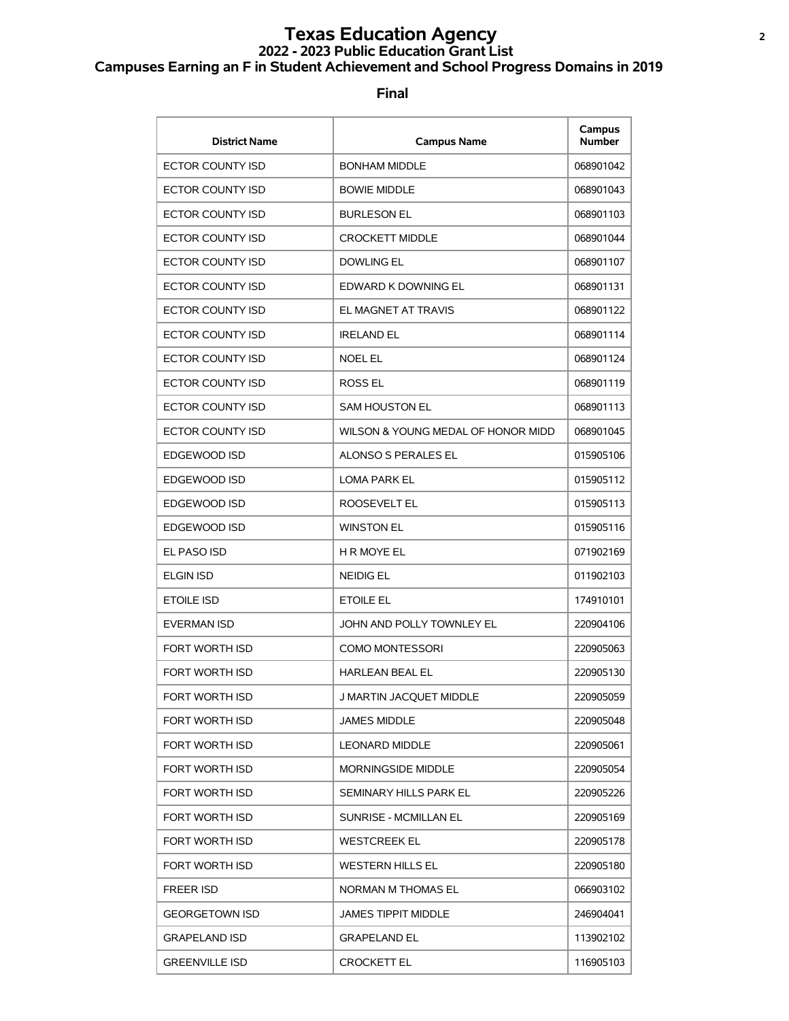# **Texas Education Agency <sup>2</sup> 2022 - 2023 Public Education Grant List Campuses Earning an F in Student Achievement and School Progress Domains in 2019**

| <b>District Name</b>    | <b>Campus Name</b>                 | Campus<br><b>Number</b> |
|-------------------------|------------------------------------|-------------------------|
| ECTOR COUNTY ISD        | <b>BONHAM MIDDLE</b>               | 068901042               |
| ECTOR COUNTY ISD        | <b>BOWIE MIDDLE</b>                | 068901043               |
| ECTOR COUNTY ISD        | <b>BURLESON EL</b>                 | 068901103               |
| ECTOR COUNTY ISD        | <b>CROCKETT MIDDLE</b>             | 068901044               |
| ECTOR COUNTY ISD        | <b>DOWLING EL</b>                  | 068901107               |
| ECTOR COUNTY ISD        | EDWARD K DOWNING EL                | 068901131               |
| <b>ECTOR COUNTY ISD</b> | EL MAGNET AT TRAVIS                | 068901122               |
| ECTOR COUNTY ISD        | <b>IRELAND EL</b>                  | 068901114               |
| ECTOR COUNTY ISD        | <b>NOEL EL</b>                     | 068901124               |
| ECTOR COUNTY ISD        | <b>ROSS EL</b>                     | 068901119               |
| <b>ECTOR COUNTY ISD</b> | <b>SAM HOUSTON EL</b>              | 068901113               |
| ECTOR COUNTY ISD        | WILSON & YOUNG MEDAL OF HONOR MIDD | 068901045               |
| EDGEWOOD ISD            | <b>ALONSO S PERALES EL</b>         | 015905106               |
| EDGEWOOD ISD            | <b>LOMA PARK EL</b>                | 015905112               |
| EDGEWOOD ISD            | ROOSEVELT EL                       | 015905113               |
| EDGEWOOD ISD            | <b>WINSTON EL</b>                  | 015905116               |
| EL PASO ISD             | <b>H R MOYE EL</b>                 | 071902169               |
| <b>ELGIN ISD</b>        | <b>NEIDIG EL</b>                   | 011902103               |
| <b>ETOILE ISD</b>       | <b>ETOILE EL</b>                   | 174910101               |
| <b>EVERMAN ISD</b>      | JOHN AND POLLY TOWNLEY EL          | 220904106               |
| <b>FORT WORTH ISD</b>   | <b>COMO MONTESSORI</b>             | 220905063               |
| FORT WORTH ISD          | <b>HARLEAN BEAL EL</b>             | 220905130               |
| FORT WORTH ISD          | J MARTIN JACQUET MIDDLE            | 220905059               |
| <b>FORT WORTH ISD</b>   | JAMES MIDDLE                       | 220905048               |
| <b>FORT WORTH ISD</b>   | <b>LEONARD MIDDLE</b>              | 220905061               |
| FORT WORTH ISD          | <b>MORNINGSIDE MIDDLE</b>          | 220905054               |
| FORT WORTH ISD          | SEMINARY HILLS PARK EL             | 220905226               |
| FORT WORTH ISD          | SUNRISE - MCMILLAN EL              | 220905169               |
| FORT WORTH ISD          | <b>WESTCREEK EL</b>                | 220905178               |
| FORT WORTH ISD          | <b>WESTERN HILLS EL</b>            | 220905180               |
| <b>FREER ISD</b>        | NORMAN M THOMAS EL                 | 066903102               |
| <b>GEORGETOWN ISD</b>   | <b>JAMES TIPPIT MIDDLE</b>         | 246904041               |
| <b>GRAPELAND ISD</b>    | <b>GRAPELAND EL</b>                | 113902102               |
| <b>GREENVILLE ISD</b>   | <b>CROCKETT EL</b>                 | 116905103               |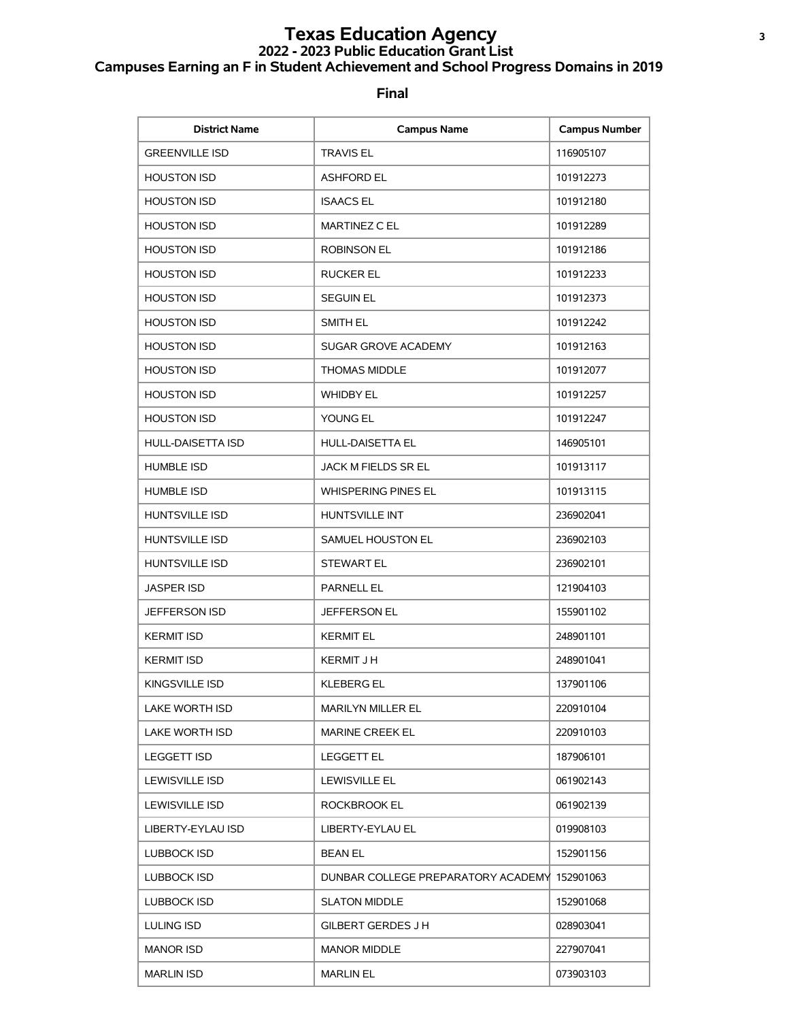# **Texas Education Agency <sup>3</sup> 2022 - 2023 Public Education Grant List Campuses Earning an F in Student Achievement and School Progress Domains in 2019**

| <b>District Name</b>     | <b>Campus Name</b>                           | <b>Campus Number</b> |
|--------------------------|----------------------------------------------|----------------------|
| <b>GREENVILLE ISD</b>    | <b>TRAVIS EL</b>                             | 116905107            |
| <b>HOUSTON ISD</b>       | <b>ASHFORD EL</b>                            | 101912273            |
| <b>HOUSTON ISD</b>       | <b>ISAACS EL</b>                             | 101912180            |
| <b>HOUSTON ISD</b>       | MARTINEZ C EL                                | 101912289            |
| <b>HOUSTON ISD</b>       | <b>ROBINSON EL</b>                           | 101912186            |
| <b>HOUSTON ISD</b>       | <b>RUCKER EL</b>                             | 101912233            |
| <b>HOUSTON ISD</b>       | <b>SEGUIN EL</b>                             | 101912373            |
| <b>HOUSTON ISD</b>       | SMITH EL                                     | 101912242            |
| <b>HOUSTON ISD</b>       | SUGAR GROVE ACADEMY                          | 101912163            |
| <b>HOUSTON ISD</b>       | <b>THOMAS MIDDLE</b>                         | 101912077            |
| <b>HOUSTON ISD</b>       | <b>WHIDBY EL</b>                             | 101912257            |
| <b>HOUSTON ISD</b>       | YOUNG EL                                     | 101912247            |
| <b>HULL-DAISETTA ISD</b> | <b>HULL-DAISETTA EL</b>                      | 146905101            |
| <b>HUMBLE ISD</b>        | JACK M FIELDS SR EL                          | 101913117            |
| <b>HUMBLE ISD</b>        | <b>WHISPERING PINES EL</b>                   | 101913115            |
| <b>HUNTSVILLE ISD</b>    | HUNTSVILLE INT                               | 236902041            |
| <b>HUNTSVILLE ISD</b>    | SAMUEL HOUSTON EL                            | 236902103            |
| <b>HUNTSVILLE ISD</b>    | <b>STEWART EL</b>                            | 236902101            |
| <b>JASPER ISD</b>        | <b>PARNELL EL</b>                            | 121904103            |
| <b>JEFFERSON ISD</b>     | <b>JEFFERSON EL</b>                          | 155901102            |
| <b>KERMIT ISD</b>        | <b>KERMIT EL</b>                             | 248901101            |
| <b>KERMIT ISD</b>        | <b>KERMIT J H</b>                            | 248901041            |
| KINGSVILLE ISD           | <b>KLEBERG EL</b>                            | 137901106            |
| LAKE WORTH ISD           | <b>MARILYN MILLER EL</b>                     | 220910104            |
| LAKE WORTH ISD           | <b>MARINE CREEK EL</b>                       | 220910103            |
| <b>LEGGETT ISD</b>       | <b>LEGGETT EL</b>                            | 187906101            |
| LEWISVILLE ISD           | <b>LEWISVILLE EL</b>                         | 061902143            |
| <b>LEWISVILLE ISD</b>    | <b>ROCKBROOK EL</b>                          | 061902139            |
| LIBERTY-EYLAU ISD        | LIBERTY-EYLAU EL                             | 019908103            |
| <b>LUBBOCK ISD</b>       | <b>BEAN EL</b>                               | 152901156            |
| LUBBOCK ISD              | DUNBAR COLLEGE PREPARATORY ACADEMY 152901063 |                      |
| <b>LUBBOCK ISD</b>       | <b>SLATON MIDDLE</b>                         | 152901068            |
| LULING ISD               | <b>GILBERT GERDES J H</b>                    | 028903041            |
| <b>MANOR ISD</b>         | <b>MANOR MIDDLE</b>                          | 227907041            |
| <b>MARLIN ISD</b>        | <b>MARLIN EL</b>                             | 073903103            |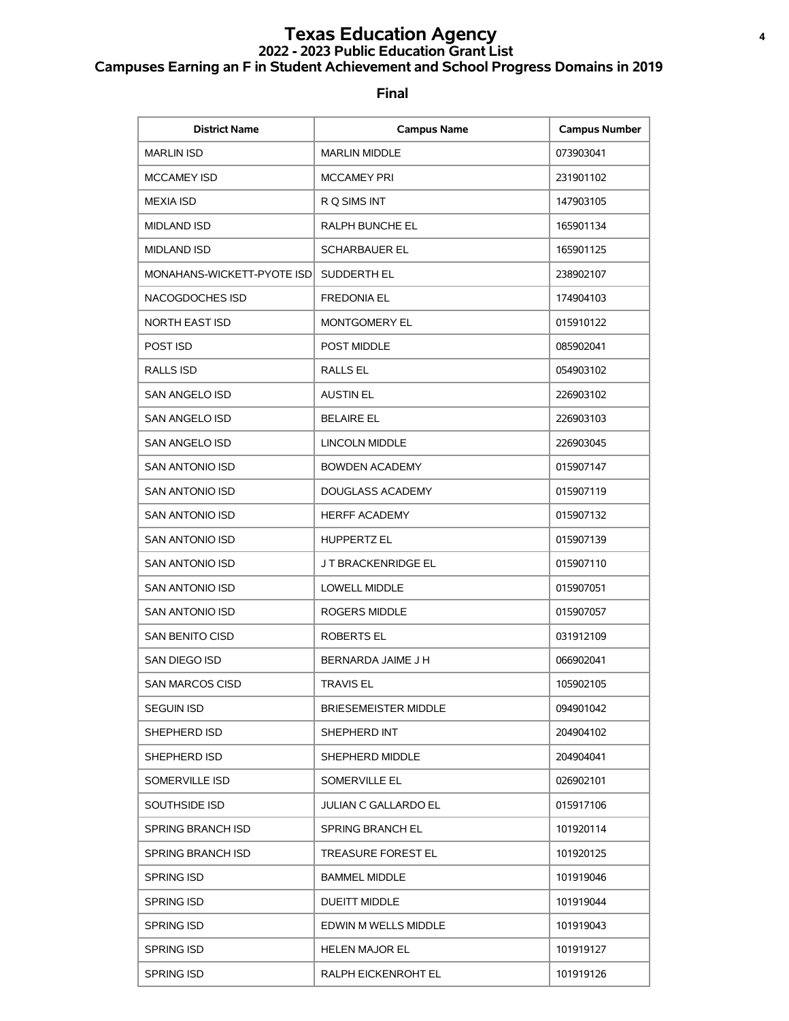# **Texas Education Agency <sup>4</sup> 2022 - 2023 Public Education Grant List Campuses Earning an F in Student Achievement and School Progress Domains in 2019**

| <b>District Name</b>       | <b>Campus Name</b>          | <b>Campus Number</b> |
|----------------------------|-----------------------------|----------------------|
| <b>MARLIN ISD</b>          | <b>MARLIN MIDDLE</b>        | 073903041            |
| <b>MCCAMEY ISD</b>         | <b>MCCAMEY PRI</b>          | 231901102            |
| <b>MEXIA ISD</b>           | R Q SIMS INT                | 147903105            |
| <b>MIDLAND ISD</b>         | RALPH BUNCHE EL             | 165901134            |
| <b>MIDLAND ISD</b>         | <b>SCHARBAUER EL</b>        | 165901125            |
| MONAHANS-WICKETT-PYOTE ISD | SUDDERTH EL                 | 238902107            |
| NACOGDOCHES ISD            | <b>FREDONIA EL</b>          | 174904103            |
| <b>NORTH EAST ISD</b>      | <b>MONTGOMERY EL</b>        | 015910122            |
| POST ISD                   | <b>POST MIDDLE</b>          | 085902041            |
| RALLS ISD                  | <b>RALLS EL</b>             | 054903102            |
| <b>SAN ANGELO ISD</b>      | <b>AUSTIN EL</b>            | 226903102            |
| SAN ANGELO ISD             | <b>BELAIRE EL</b>           | 226903103            |
| <b>SAN ANGELO ISD</b>      | <b>LINCOLN MIDDLE</b>       | 226903045            |
| SAN ANTONIO ISD            | <b>BOWDEN ACADEMY</b>       | 015907147            |
| <b>SAN ANTONIO ISD</b>     | DOUGLASS ACADEMY            | 015907119            |
| SAN ANTONIO ISD            | <b>HERFF ACADEMY</b>        | 015907132            |
| SAN ANTONIO ISD            | <b>HUPPERTZ EL</b>          | 015907139            |
| SAN ANTONIO ISD            | J T BRACKENRIDGE EL         | 015907110            |
| SAN ANTONIO ISD            | <b>LOWELL MIDDLE</b>        | 015907051            |
| SAN ANTONIO ISD            | <b>ROGERS MIDDLE</b>        | 015907057            |
| <b>SAN BENITO CISD</b>     | <b>ROBERTS EL</b>           | 031912109            |
| SAN DIEGO ISD              | BERNARDA JAIME J H          | 066902041            |
| <b>SAN MARCOS CISD</b>     | <b>TRAVIS EL</b>            | 105902105            |
| <b>SEGUIN ISD</b>          | <b>BRIESEMEISTER MIDDLE</b> | 094901042            |
| SHEPHERD ISD               | SHEPHERD INT                | 204904102            |
| SHEPHERD ISD               | SHEPHERD MIDDLE             | 204904041            |
| SOMERVILLE ISD             | SOMERVILLE EL               | 026902101            |
| SOUTHSIDE ISD              | <b>JULIAN C GALLARDO EL</b> | 015917106            |
| <b>SPRING BRANCH ISD</b>   | <b>SPRING BRANCH EL</b>     | 101920114            |
| <b>SPRING BRANCH ISD</b>   | TREASURE FOREST EL          | 101920125            |
| <b>SPRING ISD</b>          | <b>BAMMEL MIDDLE</b>        | 101919046            |
| <b>SPRING ISD</b>          | <b>DUEITT MIDDLE</b>        | 101919044            |
| <b>SPRING ISD</b>          | EDWIN M WELLS MIDDLE        | 101919043            |
| <b>SPRING ISD</b>          | <b>HELEN MAJOR EL</b>       | 101919127            |
| <b>SPRING ISD</b>          | RALPH EICKENROHT EL         | 101919126            |